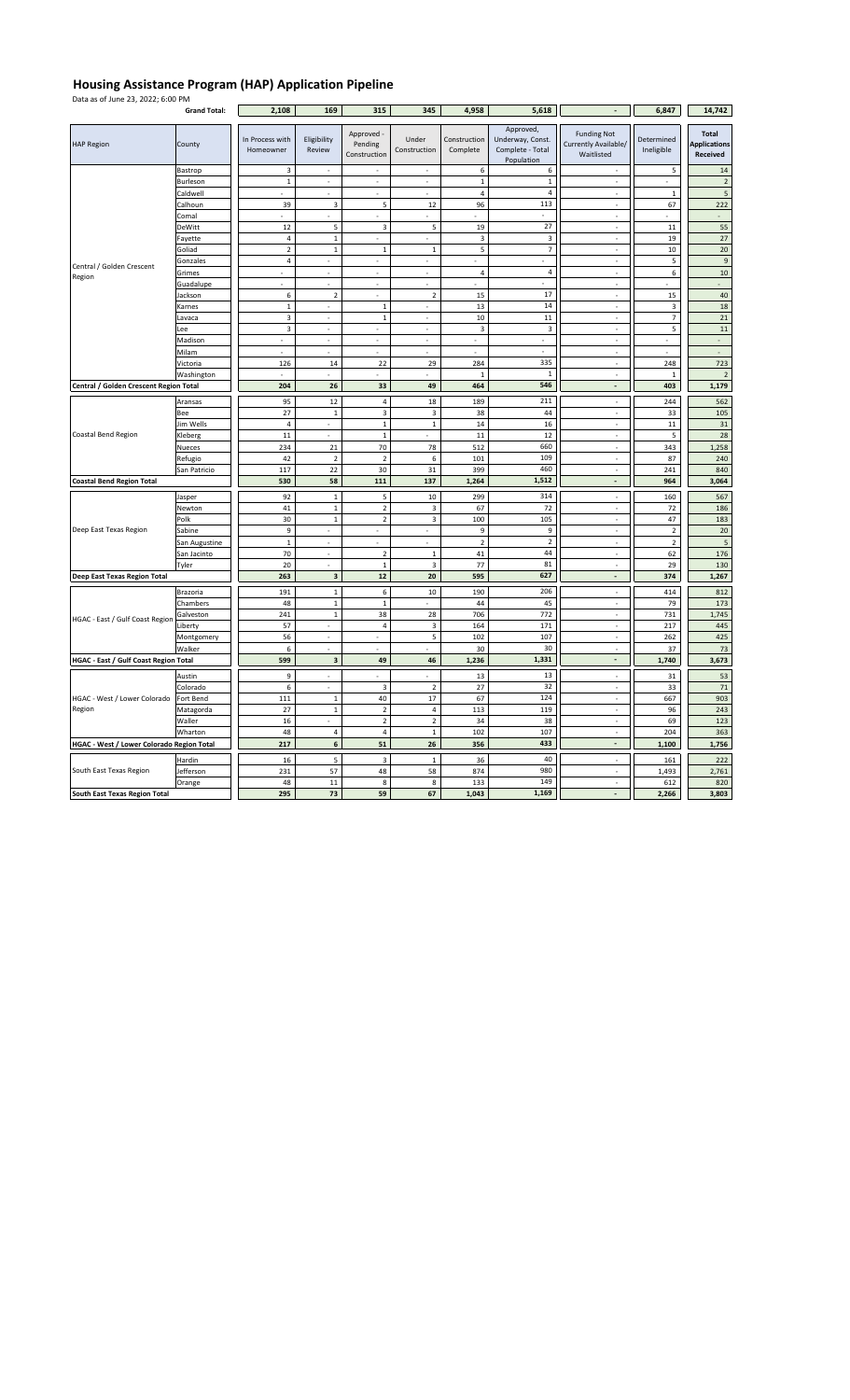## **Housing Assistance Program (HAP) Application Pipeline**

| Data as of June 23, 2022; 6:00 PM                | <b>Grand Total:</b> | 2,108                        | 169                      | 315                                   | 345                      | 4,958                    | 5,618                                                           |                                                          | 6,847                    | 14,742                                          |
|--------------------------------------------------|---------------------|------------------------------|--------------------------|---------------------------------------|--------------------------|--------------------------|-----------------------------------------------------------------|----------------------------------------------------------|--------------------------|-------------------------------------------------|
| <b>HAP Region</b>                                | County              | In Process with<br>Homeowner | Eligibility<br>Review    | Approved -<br>Pending<br>Construction | Under<br>Construction    | Construction<br>Complete | Approved,<br>Underway, Const.<br>Complete - Total<br>Population | <b>Funding Not</b><br>Currently Available/<br>Waitlisted | Determined<br>Ineligible | <b>Total</b><br><b>Applications</b><br>Received |
|                                                  | Bastrop             | 3                            |                          |                                       |                          | 6                        | 6                                                               |                                                          | 5                        | 14                                              |
| Central / Golden Crescent<br>Region              | Burleson            | $\mathbf 1$                  | $\overline{\phantom{a}}$ | ÷,                                    | $\overline{\phantom{a}}$ | $\mathbf 1$              | $\mathbf 1$                                                     | ÷,                                                       | $\overline{\phantom{a}}$ | $\overline{2}$                                  |
|                                                  | Caldwell            |                              | L.                       | L.                                    | $\overline{a}$           | 4                        | $\sqrt{4}$                                                      | $\overline{a}$                                           | $\,$ 1                   | $\sqrt{5}$                                      |
|                                                  | Calhoun             | 39                           | 3                        | 5                                     | 12                       | 96                       | 113                                                             |                                                          | 67                       | 222                                             |
|                                                  | Comal               | $\mathcal{L}$                | $\mathcal{L}$            | $\mathcal{L}$                         | $\mathcal{L}$            | ÷.                       | $\sim$                                                          | $\overline{\phantom{a}}$                                 | $\mathcal{L}$            | $\mathbb{Z}^{\mathbb{Z}}$                       |
|                                                  | DeWitt              | 12                           | 5                        | $\overline{\mathbf{3}}$               | 5                        | 19                       | 27                                                              | $\overline{\phantom{a}}$                                 | 11                       | 55                                              |
|                                                  | Fayette             | 4                            | $\mathbf 1$              |                                       |                          | 3                        | 3                                                               | ÷,                                                       | 19                       | $27\,$                                          |
|                                                  | Goliad              | $\mathbf 2$                  | $\mathbf 1$              | $\mathbf 1$                           | $\,$ 1                   | 5                        | $\overline{7}$                                                  | J.                                                       | $10\,$                   | 20                                              |
|                                                  | Gonzales            | $\overline{\mathbf{4}}$      | $\overline{\phantom{a}}$ | $\overline{\phantom{a}}$              | $\overline{\phantom{a}}$ | ä,                       |                                                                 | $\overline{\phantom{a}}$                                 | 5                        | $\overline{9}$                                  |
|                                                  | Grimes              |                              | $\overline{a}$           | ÷,                                    | $\overline{a}$           | $\overline{4}$           | $\overline{4}$                                                  | $\overline{a}$                                           | $\boldsymbol{6}$         | $10\,$                                          |
|                                                  | Guadalupe           |                              |                          |                                       |                          |                          |                                                                 |                                                          |                          |                                                 |
|                                                  | Jackson             | $\boldsymbol{6}$             | $\mathbf 2$              | ÷,                                    | $\overline{2}$           | 15                       | 17                                                              | $\overline{\phantom{a}}$                                 | 15                       | 40                                              |
|                                                  | Karnes              | $\mathbf 1$                  |                          | $\mathbf 1$                           |                          | 13                       | 14                                                              |                                                          | 3                        | 18                                              |
|                                                  | Lavaca              | 3                            | $\overline{\phantom{a}}$ | $\mathbf 1$                           | $\overline{\phantom{a}}$ | 10                       | 11                                                              | ÷,                                                       | $\overline{\phantom{a}}$ | ${\bf 21}$                                      |
|                                                  | Lee                 | $\overline{3}$               | $\overline{\phantom{a}}$ | $\overline{a}$                        | $\overline{a}$           | 3                        | 3                                                               | $\overline{a}$                                           | 5                        | $11\,$                                          |
|                                                  | Madison             | ٠                            | ÷,                       | $\overline{a}$                        | ÷,                       | ÷,                       | $\sim$                                                          | $\overline{\phantom{a}}$                                 | ÷.                       | $\overline{a}$                                  |
|                                                  | Milam               | $\frac{1}{2}$                | $\frac{1}{2}$            | ÷,                                    | ÷,                       | ÷,                       | ÷                                                               | ÷,                                                       | $\overline{\phantom{a}}$ | ÷.                                              |
|                                                  | Victoria            | 126                          | 14                       | 22                                    | 29                       | 284                      | 335                                                             | $\overline{\phantom{a}}$                                 | 248                      | 723                                             |
|                                                  | Washington          | $\overline{\phantom{a}}$     |                          |                                       |                          | 1                        | $\mathbf 1$                                                     | ÷,                                                       | $\mathbf{1}$             | $\overline{2}$                                  |
| Central / Golden Crescent Region Total           |                     | 204                          | ${\bf 26}$               | 33                                    | 49                       | 464                      | 546                                                             | ÷,                                                       | 403                      | 1,179                                           |
|                                                  | Aransas             | 95                           | 12                       | $\overline{\mathbf{4}}$               | 18                       | 189                      | 211                                                             | ÷,                                                       | 244                      | 562                                             |
|                                                  | Bee                 | 27                           | $\,1\,$                  | 3                                     | $\mathsf 3$              | 38                       | 44                                                              | $\overline{\phantom{a}}$                                 | 33                       | 105                                             |
|                                                  | Jim Wells           | $\pmb{4}$                    |                          | $\mathbf 1$                           | $\mathbf 1$              | 14                       | 16                                                              |                                                          | 11                       | 31                                              |
| <b>Coastal Bend Region</b>                       | Kleberg             | $11\,$                       |                          | $\mathbf 1$                           |                          | 11                       | 12                                                              | ÷,                                                       | 5                        | 28                                              |
|                                                  | Nueces              | 234                          | 21                       | 70                                    | 78                       | 512                      | 660                                                             | $\overline{a}$                                           | 343                      | 1,258                                           |
|                                                  |                     | 42                           | $\mathbf 2$              | $\mathbf 2$                           | $\,$ 6 $\,$              | 101                      | 109                                                             | $\overline{\phantom{a}}$                                 | 87                       | 240                                             |
|                                                  | Refugio             | 117                          | 22                       | 30                                    | 31                       | 399                      | 460                                                             | $\overline{a}$                                           | 241                      | 840                                             |
| San Patricio<br><b>Coastal Bend Region Total</b> |                     | 530                          | 58                       | 111                                   | 137                      | 1,264                    | 1,512                                                           | L.                                                       | 964                      | 3,064                                           |
|                                                  |                     |                              |                          |                                       |                          |                          |                                                                 |                                                          |                          |                                                 |
|                                                  | Jasper              | 92                           | $\mathbf 1$              | 5                                     | $10\,$                   | 299                      | 314                                                             | $\overline{\phantom{a}}$                                 | 160                      | 567                                             |
|                                                  | Newton              | 41                           | $\mathbf 1$              | $\mathbf 2$                           | $\mathsf 3$              | 67                       | 72                                                              | $\overline{a}$                                           | 72                       | 186                                             |
|                                                  | Polk                | 30                           | $\mathbf 1$              | $\mathbf 2$                           | $\overline{\mathbf{3}}$  | 100                      | 105                                                             | $\overline{\phantom{a}}$                                 | 47                       | 183                                             |
| Deep East Texas Region                           | Sabine              | 9                            | $\mathcal{L}$            | $\mathcal{L}$                         | ÷,                       | $\overline{9}$           | 9                                                               | $\overline{\phantom{a}}$                                 | $\sqrt{2}$               | 20                                              |
|                                                  | San Augustine       | $\mathbf 1$                  | ÷.                       | $\overline{a}$                        |                          | $\overline{2}$           | $\mathbf 2$                                                     | $\overline{a}$                                           | $\overline{2}$           | $5\overline{5}$                                 |
|                                                  | San Jacinto         | 70                           | ÷,                       | $\sqrt{2}$                            | $\,$ 1                   | 41                       | 44                                                              | ÷,                                                       | 62                       | 176                                             |
|                                                  | Tyler               | 20                           |                          | $\mathbf 1$                           | $\overline{\mathbf{3}}$  | 77                       | 81                                                              |                                                          | 29                       | 130                                             |
| Deep East Texas Region Total                     |                     | 263                          | 3                        | 12                                    | 20                       | 595                      | 627                                                             | L,                                                       | 374                      | 1,267                                           |
|                                                  | Brazoria            | 191                          | $\mathbf 1$              | 6                                     | $10\,$                   | 190                      | 206                                                             | $\overline{\phantom{a}}$                                 | 414                      | 812                                             |
|                                                  | Chambers            | 48                           | $\mathbf 1$              | $\mathbf 1$                           |                          | 44                       | 45                                                              |                                                          | 79                       | 173                                             |
|                                                  | Galveston           | 241                          | $\mathbf 1$              | 38                                    | 28                       | 706                      | 772                                                             | ÷,                                                       | 731                      | 1,745                                           |
| HGAC - East / Gulf Coast Region                  | Liberty             | 57                           |                          | $\overline{\mathbf{4}}$               | $\overline{\mathbf{3}}$  | 164                      | 171                                                             | $\overline{a}$                                           | 217                      | 445                                             |
|                                                  | Montgomery          | 56                           | $\sim$                   | $\overline{\phantom{a}}$              | 5                        | 102                      | 107                                                             | $\overline{\phantom{a}}$                                 | 262                      | 425                                             |
|                                                  | Walker              | 6                            | $\overline{a}$           |                                       |                          | 30                       | 30                                                              | ÷,                                                       | 37                       | $73$                                            |
| HGAC - East / Gulf Coast Region Total            |                     | 599                          | $\overline{\mathbf{3}}$  | 49                                    | 46                       | 1,236                    | 1,331                                                           | L.                                                       | 1,740                    | 3,673                                           |
|                                                  | Austin              | 9                            | $\overline{\phantom{a}}$ | $\overline{\phantom{a}}$              | $\overline{\phantom{a}}$ | 13                       | 13                                                              | $\overline{\phantom{a}}$                                 | 31                       | 53                                              |
|                                                  |                     |                              |                          |                                       |                          |                          | 32                                                              |                                                          |                          |                                                 |
| HGAC - West / Lower Colorado<br>Region           | Colorado            | 6<br>111                     | $\mathbf 1$              | 3<br>40                               | $\mathbf 2$<br>17        | 27<br>67                 | 124                                                             |                                                          | 33<br>667                | $71\,$<br>903                                   |
|                                                  | Fort Bend           | 27                           | $\,1\,$                  | $\overline{2}$                        | $\sqrt{4}$               | 113                      | 119                                                             | $\overline{\phantom{a}}$                                 |                          | 243                                             |
|                                                  | Matagorda<br>Waller | 16                           |                          |                                       | $\sqrt{2}$               | 34                       | 38                                                              | $\overline{\phantom{a}}$                                 | 96                       | 123                                             |
|                                                  |                     |                              |                          | $\mathbf 2$                           | $\mathbf 1$              |                          | 107                                                             | ÷,                                                       | 69                       |                                                 |
|                                                  | Wharton             | 48                           | $\overline{4}$           | $\sqrt{4}$                            |                          | 102                      |                                                                 | L.                                                       | 204                      | 363                                             |
| HGAC - West / Lower Colorado Region Total        | 217                 | 6                            | 51                       | 26                                    | 356                      | 433                      |                                                                 | 1,100                                                    | 1,756                    |                                                 |
| South East Texas Region                          | Hardin              | 16                           | 5                        | 3                                     | $\mathbf 1$              | 36                       | 40                                                              | ÷,                                                       | 161                      | 222                                             |
|                                                  | Jefferson           | 231                          | 57                       | 48                                    | 58                       | 874                      | 980                                                             | $\overline{\phantom{a}}$                                 | 1,493                    | 2,761                                           |
|                                                  | Orange              | 48                           | 11                       | 8                                     | 8                        | 133                      | 149                                                             | $\overline{\phantom{a}}$                                 | 612                      | 820                                             |
| South East Texas Region Total                    |                     | 295                          | 73                       | 59                                    | 67                       | 1,043                    | 1,169                                                           | $\overline{a}$                                           | 2,266                    | 3,803                                           |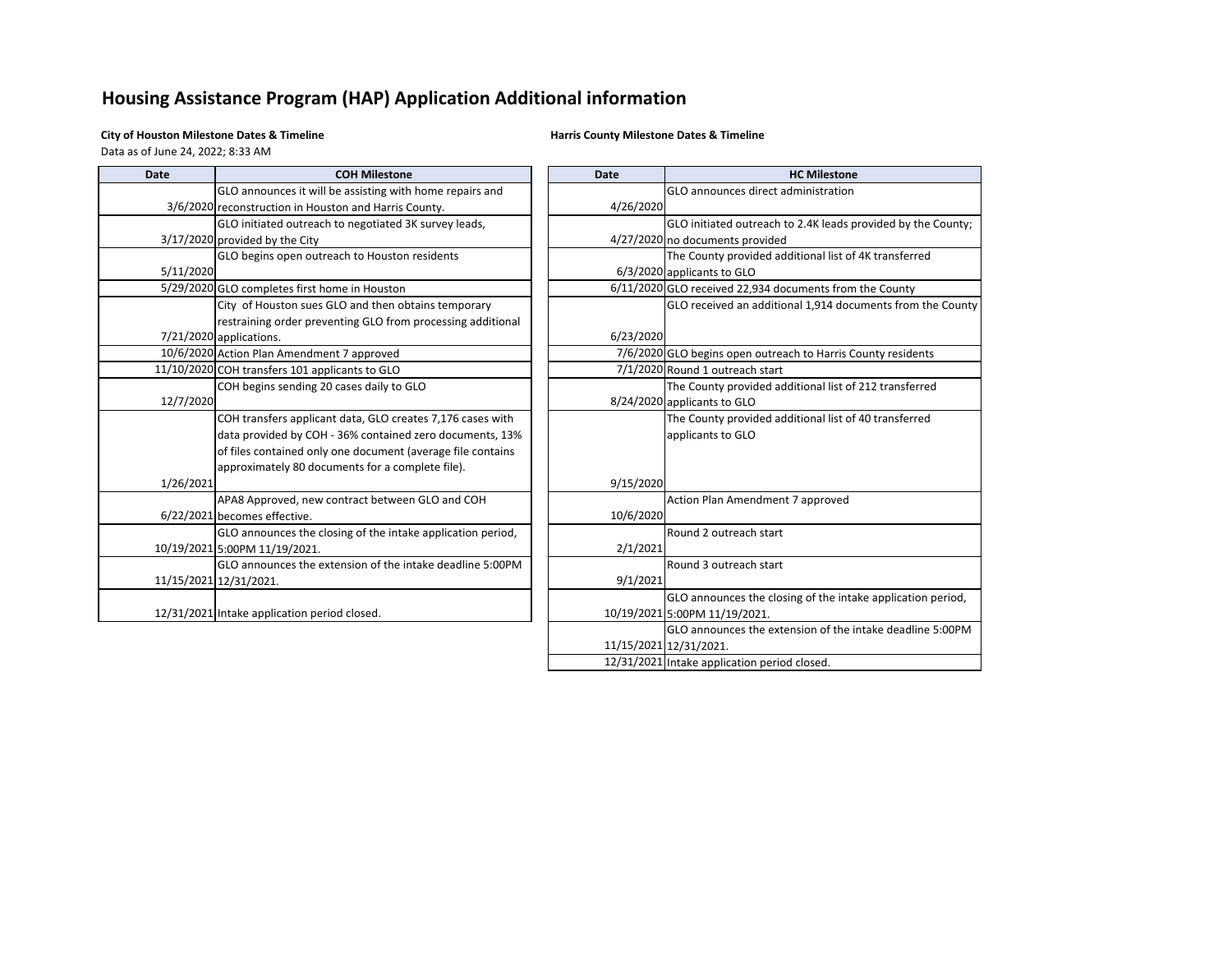# **Housing Assistance Program (HAP) Application Additional information**

**City of Houston Milestone Dates & Timeline Harris County Milestone Dates & Timeline**

Data as of June 24, 2022; 8:33 AM

| <b>Date</b> | <b>COH Milestone</b>                                        | <b>Date</b> | <b>HC Milestone</b>                                          |  |  |
|-------------|-------------------------------------------------------------|-------------|--------------------------------------------------------------|--|--|
|             | GLO announces it will be assisting with home repairs and    |             | GLO announces direct administration                          |  |  |
|             | 3/6/2020 reconstruction in Houston and Harris County.       | 4/26/2020   |                                                              |  |  |
|             | GLO initiated outreach to negotiated 3K survey leads,       |             | GLO initiated outreach to 2.4K leads provided by the County; |  |  |
|             | 3/17/2020 provided by the City                              |             | 4/27/2020 no documents provided                              |  |  |
|             | GLO begins open outreach to Houston residents               |             | The County provided additional list of 4K transferred        |  |  |
| 5/11/2020   |                                                             |             | 6/3/2020 applicants to GLO                                   |  |  |
|             | 5/29/2020 GLO completes first home in Houston               |             | 6/11/2020 GLO received 22,934 documents from the County      |  |  |
|             | City of Houston sues GLO and then obtains temporary         |             | GLO received an additional 1,914 documents from the County   |  |  |
|             | restraining order preventing GLO from processing additional |             |                                                              |  |  |
|             | 7/21/2020 applications.                                     | 6/23/2020   |                                                              |  |  |
|             | 10/6/2020 Action Plan Amendment 7 approved                  |             | 7/6/2020 GLO begins open outreach to Harris County residents |  |  |
|             | 11/10/2020 COH transfers 101 applicants to GLO              |             | 7/1/2020 Round 1 outreach start                              |  |  |
|             | COH begins sending 20 cases daily to GLO                    |             | The County provided additional list of 212 transferred       |  |  |
| 12/7/2020   |                                                             |             | 8/24/2020 applicants to GLO                                  |  |  |
|             | COH transfers applicant data, GLO creates 7,176 cases with  |             | The County provided additional list of 40 transferred        |  |  |
|             | data provided by COH - 36% contained zero documents, 13%    |             | applicants to GLO                                            |  |  |
|             | of files contained only one document (average file contains |             |                                                              |  |  |
|             | approximately 80 documents for a complete file).            |             |                                                              |  |  |
| 1/26/2021   |                                                             | 9/15/2020   |                                                              |  |  |
|             | APA8 Approved, new contract between GLO and COH             |             | Action Plan Amendment 7 approved                             |  |  |
|             | 6/22/2021 becomes effective.                                | 10/6/2020   |                                                              |  |  |
|             | GLO announces the closing of the intake application period, |             | Round 2 outreach start                                       |  |  |
|             | 10/19/2021 5:00PM 11/19/2021.                               | 2/1/2021    |                                                              |  |  |
|             | GLO announces the extension of the intake deadline 5:00PM   |             | Round 3 outreach start                                       |  |  |
|             | 11/15/2021 12/31/2021.                                      | 9/1/2021    |                                                              |  |  |
|             |                                                             |             | GLO announces the closing of the intake application period,  |  |  |
|             | 12/31/2021 Intake application period closed.                |             | 10/19/2021 5:00PM 11/19/2021.                                |  |  |
|             |                                                             |             | GLO announces the extension of the intake deadline 5:00PM    |  |  |
|             |                                                             |             | 11/15/2021 12/31/2021.                                       |  |  |
|             |                                                             |             | 12/31/2021 Intake application period closed.                 |  |  |